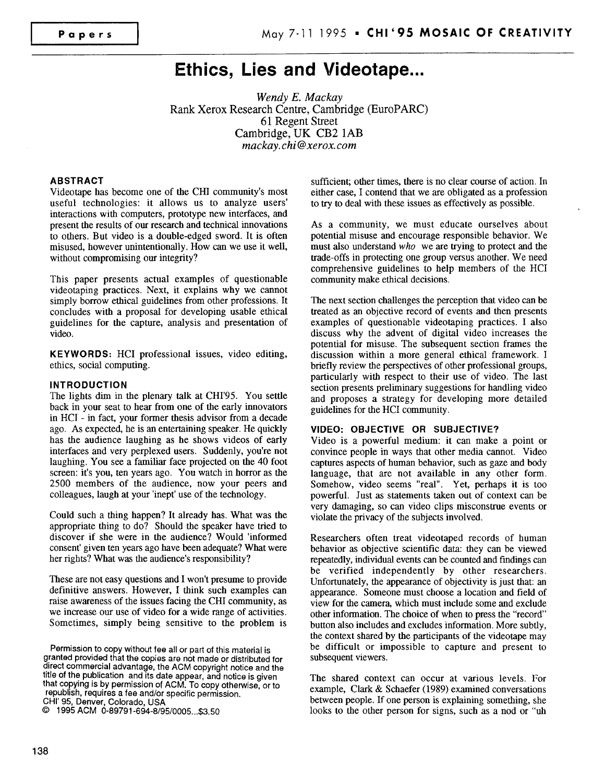# **Ethics, Lies and Videotape...**

*Wendy E. Mackay*  **Rank Xerox Research Centre, Cambridge (EuroPARC) 61 Regent Street Cambridge, UK CB2 lAB**  *mackay. chi@ xerox, com* 

# **ABSTRACT**

Videotape has become one of the CHI community's most useful technologies: it allows us to analyze users' interactions with computers, prototype new interfaces, and present the results of our research and technical innovations to others. But video is a double-edged sword. It is often misused, however unintentionally. How can we use it well, without compromising our integrity?

This paper presents actual examples of questionable videotaping practices. Next, it explains why we cannot simply borrow ethical guidelines from other professions. It concludes with a proposal for developing usable ethical guidelines for the capture, analysis and presentation of video.

**KEYWORDS:** HCI professional issues, video editing, ethics, social computing.

#### **INTRODUCTION**

The lights dim in the plenary talk at CHI'QS. You settle back in your seat to hear from one of the early innovators in HCI - in fact, your former thesis advisor from a decade ago. As expected, he is an entertaining speaker. He quickly has the audience laughing as he shows videos of early interfaces and very perplexed users. Suddenly, you're not laughing. You see a familiar face projected on the 40 foot screen: it's you, ten years ago. You watch in horror as the 2500 members of the audience, now your peers and colleagues, laugh at your 'inept' use of the technology.

Could such a thing happen? It already has. What was the appropriate thing to do? Should the speaker have tried to discover if she were in the audience? Would 'informed consent' given ten years ago have been adequate? What were her rights? What was the audience's responsibility?

These are not easy questions and I won't presume to provide definitive answers. However, I think such examples can raise awareness of the issues facing the CHI community, as we increase our use of video for a wide range of activities. Sometimes, simply being sensitive to the problem is

**© 1995 ACM 0-89791-694-8/95/0005...\$3.50** 

sufficient; other times, there is no clear course of action. In either case, I contend that we are obligated as a profession to try to deal with these issues as effectively as possible.

As a community, we must educate ourselves about potential misuse and encourage responsible behavior. We must also understand *who* we are trying to protect and the trade-offs in protecting one group versus another. We need comprehensive guidelines to help members of the HCI community make ethical decisions.

The next section challenges the perception that video can be treated as an objective record of events and then presents examples of questionable videotaping practices. I also discuss why the advent of digital video increases the potential for misuse. The subsequent section frames the discussion within a more general ethical framework. I briefly review the perspectives of other professional groups, particularly with respect to their use of video. The last section presents preliminary suggestions for handling video and proposes a strategy for developing more detailed guidehnes for the HCI community.

## **VIDEO: OBJECTIVE OR SUBJECTIVE?**

Video is a powerful medium: it can make a point or convince people in ways that other media cannot. Video captures aspects of human behavior, such as gaze and body language, that are not available in any other form. Somehow, video seems "real". Yet, perhaps it is too powerful. Just as statements taken out of context can be very damaging, so can video clips misconstrue events or violate the privacy of the subjects involved.

Researchers often treat videotaped records of human behavior as objective scientific data: they can be viewed repeatedly, individual events can be counted and findings can be verified independently by other researchers. Unfortunately, the appearance of objectivity is just that: an appearance. Someone must choose a location and field of view for the camera, which must include some and exclude other information. The choice of when to press the "record" button also includes and excludes information. More subtiy, the context shared by the participants of the videotape may be difficult or impossible to capture and present to subsequent viewers.

The shared context can occur at various levels. For example, Clark & Schaefer (1989) examined conversations between people. If one person is explaining something, she looks to the other person for signs, such as a nod or "uh

**Permission to copy without fee all or part of this material is granted provided that the copies are not made or distributed for direct commercial advantage, the ACM copyright notice and the title of the publication and its date appear, and notice is given that copying is by permission of ACM. To copy othenvise, or to republish, requires a fee and/or specific permission. CHI' 95, Denver, Colorado, USA**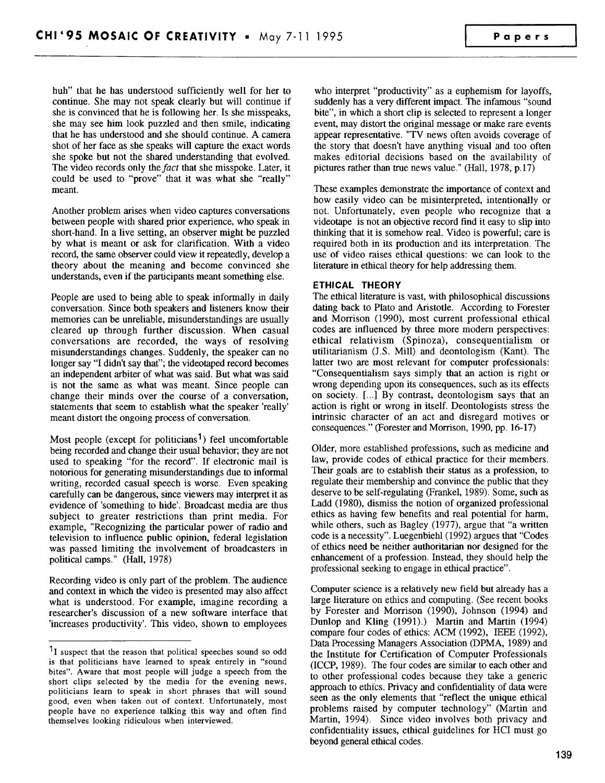huh" that he has understood sufficiently well for her to continue. She may not speak clearly but will continue if she is convinced that he is following her. Is she misspeaks, she may see him look puzzled and then smile, indicating that he has understood and she should continue. A camera shot of her face as she speaks will capture the exact words she spoke but not the shared understanding that evolved. The video records only the *fact* that she misspoke. Later, it could be used to "prove" that it was what she "really" meant.

Another problem arises when video captures conversations between people with shared prior experience, who speak in short-hand. In a live setting, an observer might be puzzled by what is meant or ask for clarification. With a video record, the same observer could view it repeatedly, develop a theory about the meaning and become convinced she understands, even if the participants meant something else.

People are used to being able to speak informally in daily conversation. Since both speakers and listeners know their memories can be unreliable, misunderstandings are usually cleared up through further discussion. When casual conversations are recorded, the ways of resolving misunderstandings changes. Suddenly, the speaker can no longer say "I didn't say that"; the videotaped record becomes an independent arbiter of what was said. But what was said is not the same as what was meant. Since people can change their minds over the course of a conversation, statements that seem to establish what the speaker 'really' meant distort the ongoing process of conversation.

Most people (except for politicians<sup>1</sup>) feel uncomfortable being recorded and change their usual behavior; they are not used to speaking "for the record". If electronic mail is notorious for generating misunderstandings due to informal writing, recorded casual speech is worse. Even speaking carefully can be dangerous, since viewers may interpret it as evidence of 'something to hide'. Broadcast media are thus subject to greater restrictions than print media. For example, "Recognizing the particular power of radio and television to influence public opinion, federal legislation was passed limiting the involvement of broadcasters in political camps." (Hall, 1978)

Recording video is only part of the problem. The audience and context in which the video is presented may also affect what is understood. For example, imagine recording a researcher's discussion of a new software interface that 'increases productivity'. This video, shown to employees

who interpret "productivity" as a euphemism for layoffs, suddenly has a very different impact. The infamous "sound bite", in which a short clip is selected to represent a longer event, may distort the original message or make rare events appear representative. "TV news often avoids coverage of the story that doesn't have anything visual and too often makes editorial decisions based on the availability of pictures rather than true news value." (Hall, 1978, p.17)

These examples demonstrate the importance of context and how easily video can be misinterpreted, intentionally or not. Unfortunately, even people who recognize that a videotape is not an objective record find it easy to slip into thinking that it is somehow real. Video is powerful; care is required both in its production and its interpretation. The use of video raises ethical questions: we can look to the literature in ethical theory for help addressing them.

## **ETHICAL THEORY**

The ethical literature is vast, with philosophical discussions dating back to Plato and Aristotle. According to Forester and Morrison (1990), most current professional ethical codes are influenced by three more modem perspectives: ethical relativism (Spinoza), consequentialism or utilitarianism (J.S. Mill) and deontologism (Kant). The latter two are most relevant for computer professionals: "Consequentialism says simply that an action is right or wrong depending upon its consequences, such as its effects on society. [...] By contrast, deontologism says that an action is right or wrong in itself. Deontologists stress the intrinsic character of an act and disregard motives or consequences." (Forester and Morrison, 1990, pp. 16-17)

Older, more established professions, such as medicine and law, provide codes of ethical practice for their members. Their goals are to establish their status as a profession, to regulate their membership and convince the public that they deserve to be self-regulating (Frankel, 1989). Some, such as Ladd (1980), dismiss the notion of organized professional ethics as having few benefits and real potential for harm, while others, such as Bagley (1977), argue that "a written code is a necessity". Luegenbiehl (1992) argues that "Codes of ethics need be neither authoritarian nor designed for the enhancement of a profession. Instead, they should help the professional seeking to engage in ethical practice".

Computer science is a relatively new field but already has a large literature on ethics and computing. (See recent books by Forester and Morrison (1990), Johnson (1994) and Dunlop and Kling (1991).) Martin and Martin (1994) compare four codes of ethics: ACM (1992), IEEE (1992), Data Processing Managers Association (DPMA, 1989) and the Institute for Certification of Computer Professionals (ICCP, 1989). The four codes are similar to each other and to other professional codes because they take a generic approach to ethics. Privacy and confidentiality of data were seen as the only elements that "reflect the unique ethical problems raised by computer technology" (Martin and Martin, 1994). Since video involves both privacy and confidentiality issues, ethical guidelines for HCI must go beyond general ethical codes.

<sup>&</sup>lt;sup>1</sup>I suspect that the reason that political speeches sound so odd **is that politicians have learned to speak entirely in "sound bites". Aware that most people will judge a speech from the short clips selected by the media for the evening news, politicians learn to speak in short phrases that will sound good, even when taken out of context. Unfortunately, most people have no experience talking this way and often find themselves looking ridiculous when interviewed.**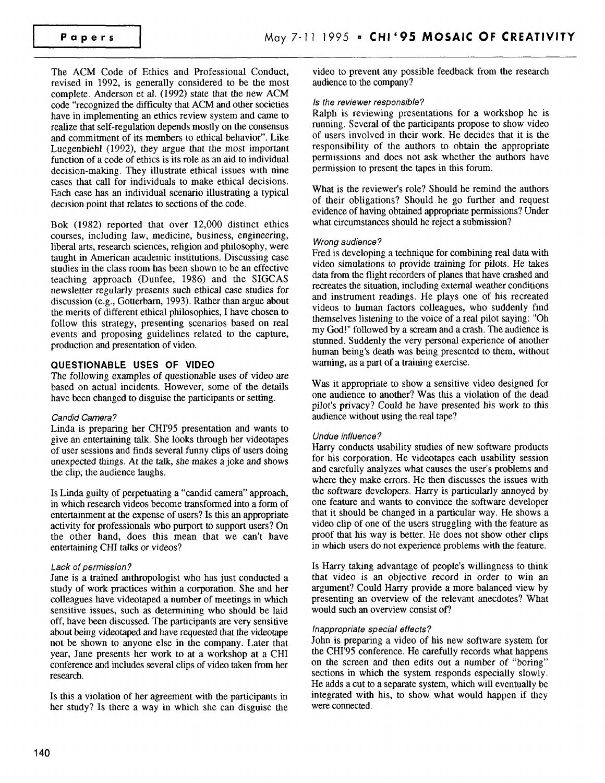The ACM Code of Ethics and Professional Conduct, revised in 1992, is generally considered to be the most complete. Anderson et al. (1992) state that the new ACM code "recognized the difficulty that ACM and other societies have in implementing an ethics review system and came to realize that self-regulation depends mostly on the consensus and commitment of its members to ethical behavior". Like Luegenbiehl (1992), they argue that the most important function of a code of ethics is its role as an aid to individual decision-making. They illustrate ethical issues with nine cases that call for individuals to make ethical decisions. Each case has an individual scenario illustrating a typical decision point that relates to sections of the code.

Bok (1982) reported that over 12,000 distinct ethics courses, including law, medicine, business, engineering, liberal arts, research sciences, religion and philosophy, were taught in American academic institutions. Discussing case studies in the class room has been shown to be an effective teaching approach (Dunfee, 1986) and the SIGCAS newsletter regularly presents such ethical case studies for discussion (e.g., Gotterbam, 1993). Rather than argue about the merits of different ethical philosophies, I have chosen to follow this strategy, presenting scenarios based on real events and proposing guidelines related to the capture, production and presentation of video.

# **QUESTIONABLE USES OF VIDEO**

The following examples of questionable uses of video are based on actual incidents. However, some of the details have been changed to disguise the participants or setting.

## *Candid Camera?*

Linda is preparing her **CHr95** presentation and wants to give an entertaining talk. She looks through her videotapes of user sessions and finds several funny clips of users doing unexpected things. At the talk, she makes a joke and shows the clip; the audience laughs.

Is Linda guilty of perpetuating a "candid camera" approach, in which research videos become transformed into a form of entertainment at the expense of users? Is this an appropriate activity for professionals who purport to support users? On the other hand, does this mean that we can't have entertaining CHI talks or videos?

#### *Lack of permission?*

Jane is a trained anthropologist who has just conducted a study of work practices within a corporation. She and her colleagues have videotaped a number of meetings in which sensitive issues, such as determining who should be laid off, have been discussed. The participants are very sensitive about being videotaped and have requested that the videotape not be shown to anyone else in the company. Later that year, Jane presents her work to at a workshop at a CHI conference and includes several clips of video taken from her research.

Is this a violation of her agreement with the participants in her study? Is there a way in which she can disguise the video to prevent any possible feedback from the research audience to the company?

#### *Is the reviewer responsible?*

Ralph is reviewing presentations for a workshop he is running. Several of the participants propose to show video of users involved in their work. He decides that it is the responsibility of the authors to obtain the appropriate permissions and does not ask whether the authors have permission to present the tapes in this forum.

What is the reviewer's role? Should he remind the authors of their obligations? Should he go further and request evidence of having obtained appropriate permissions? Under what circumstances should he reject a submission?

#### *Wrong audience?*

Fred is developing a technique for combining real data with video simulations to provide training for pilots. He takes data from the flight recorders of planes that have crashed and recreates the situation, including external weather conditions and instrument readings. He plays one of his recreated videos to human factors colleagues, who suddenly find themselves listening to the voice of a real pilot saying: "Oh my God!" followed by a scream and a crash. The audience is stunned. Suddenly the very personal experience of another human being's death was being presented to them, without warning, as a part of a training exercise.

Was it appropriate to show a sensitive video designed for one audience to another? Was this a violation of the dead pilot's privacy? Could he have presented his work to this audience without using the real tape?

## *Undue influence?*

Harry conducts usability studies of new software products for his corporation. He videotapes each usability session and carefully analyzes what causes the user's problems and where they make errors. He then discusses the issues with the software developers. Harry is particularly annoyed by one feature and wants to convince the software developer that it should be changed in a particular way. He shows a video clip of one of the users struggling with the feature as proof that his way is better. He does not show other clips in which users do not experience problems with the feature.

Is Harry taking advantage of people's willingness to think that video is an objective record in order to win an argument? Could Harry provide a more balanced view by presenting an overview of the relevant anecdotes? What would such an overview consist of?

#### *Inappropriate special effects?*

John is preparing a video of his new software system for the CHI'95 conference. He carefully records what happens on the screen and then edits out a number of "boring" sections in which the system responds especially slowly. He adds a cut to a separate system, which will eventually be integrated with his, to show what would happen if they were connected.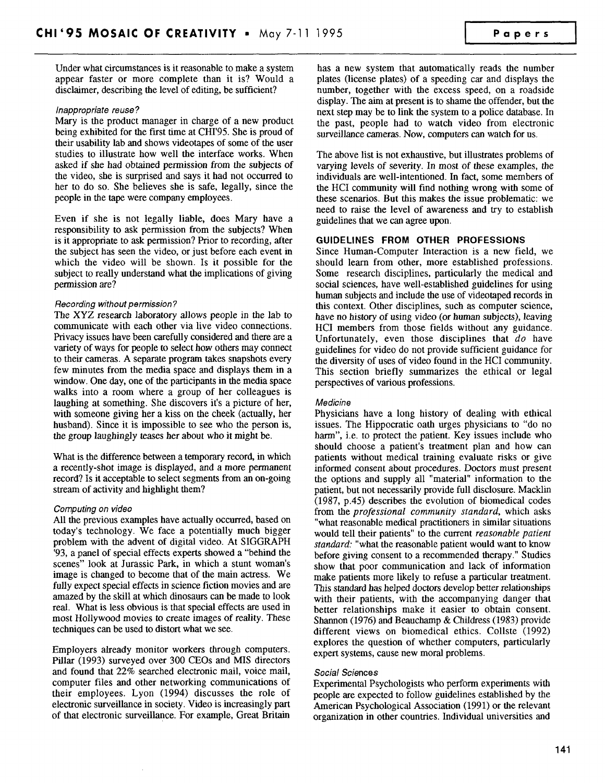Under what circumstances is it reasonable to make a system appear faster or more complete than it is? Would a disclaimer, describing the level of editing, be sufficient?

## *Inappropriate reuse?*

Mary is the product manager in charge of a new product being exhibited for the first time at **CHr95.** She is proud of their usability lab and shows videotapes of some of the user studies to illustrate how well the interface works. When asked if she had obtained pennission from the subjects of the video, she is surprised and says it had not occurred to her to do so. She believes she is safe, legally, since the people in the tape were company employees.

Even if she is not legally liable, does Mary have a responsibility to ask permission from the subjects? When is it appropriate to ask permission? Prior to recording, after the subject has seen the video, or just before each event in which the video will be shown. Is it possible for the subject to really understand what the implications of giving permission are?

#### *Recording without permission?*

The XYZ research laboratory allows people in the lab to communicate with each other via live video connections. Privacy issues have been carefully considered and there are a variety of ways for people to select how others may connect to their cameras. A separate program takes snapshots every few minutes from the media space and displays them in a window. One day, one of the participants in the media space walks into a room where a group of her colleagues is laughing at something. She discovers it's a picture of her, with someone giving her a kiss on the cheek (actually, her husband). Since it is impossible to see who the person is, the group laughingly teases her about who it might be.

What is the difference between a temporary record, in which a recently-shot image is displayed, and a more permanent record? Is it acceptable to select segments from an on-going stream of activity and highlight them?

#### *Computing on video*

All the previous examples have actually occurred, based on today's technology. We face a potentially much bigger problem with the advent of digital video. At SIGGRAPH '93, a panel of special effects experts showed a "behind the scenes" look at Jurassic Park, in which a stunt woman's image is changed to become that of the main actress. We fully expect special effects in science fiction movies and are amazed by the skill at which dinosaurs can be made to look real. What is less obvious is that special effects are used in most Hollywood movies to create images of reality. These techniques can be used to distort what we see.

Employers already monitor workers through computers. Pillar (1993) surveyed over 300 CEOs and MIS directors and found that 22% searched electronic mail, voice mail, computer files and other networking communications of their employees. Lyon (1994) discusses the role of electronic surveillance in society. Video is increasingly part of that electronic surveillance. For example. Great Britain has a new system that automatically reads the number plates (license plates) of a speeding car and displays the number, together with the excess speed, on a roadside display. The aim at present is to shame the offender, but the next step may be to link the system to a police database. In the past, people had to watch video from electronic surveillance cameras. Now, computers can watch for us.

The above list is not exhaustive, but illustrates problems of varying levels of severity. In most of these examples, the individuals are well-intentioned. In fact, some members of the HCI community will find nothing wrong with some of these scenarios. But this makes the issue problematic: we need to raise the level of awareness and try to establish guidelines that we can agree upon.

#### **GUIDELINES FROM OTHER PROFESSIONS**

Since Human-Computer Interaction is a new field, we should learn from other, more established professions. Some research disciplines, particularly the medical and social sciences, have well-established guidelines for using human subjects and include the use of videotaped records in this context. Other disciplines, such as computer science, have no history of using video (or human subjects), leaving HCI members from those fields without any guidance. Unfortunately, even those disciplines that *do* have guidelines for video do not provide sufficient guidance for the diversity of uses of video found in the HCI community. This section briefly summarizes the ethical or legal perspectives of various professions.

#### *Medicine*

Physicians have a long history of dealing with ethical issues. The Hippocratic oath urges physicians to "do no harm", i.e. to protect the patient. Key issues include who should choose a patient's treatment plan and how can patients without medical training evaluate risks or give informed consent about procedures. Doctors must present the options and supply all "material" information to the patient, but not necessarily provide full disclosure. Macklin (1987, p.45) describes the evolution of biomedical codes from the *professional community standard,* which asks "what reasonable medical practitioners in similar situations would tell their patients" to the current *reasonable patient standard:* "what the reasonable patient would want to know before giving consent to a recommended therapy." Studies show that poor communication and lack of information make patients more likely to refuse a particular treatment. This standard has helped doctors develop better relationships with their patients, with the accompanying danger that better relationships make it easier to obtain consent. Shannon (1976) and Beauchamp & Childress (1983) provide different views on biomedical ethics. Collste (1992) explores the question of whether computers, particularly expert systems, cause new moral problems.

#### *Social Sciences*

Experimental Psychologists who perform experiments with people are expected to follow guidelines established by the American Psychological Association (1991) or the relevant organization in other countries. Individual universities and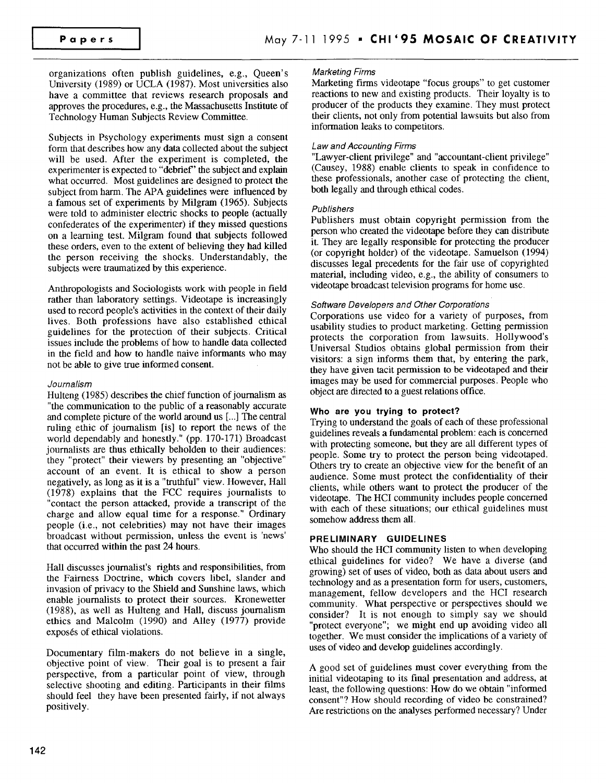organizations often publish guidelines, e.g., Queen's University (1989) or UCLA (1987). Most universities also have a committee that reviews research proposals and approves the procedures, e.g., the Massachusetts Institute of Technology Human Subjects Review Committee.

Subjects in Psychology experiments must sign a consent form that describes how any data collected about the subject will be used. After the experiment is completed, the experimenter is expected to "debrief' the subject and explain what occurred. Most guidelines are designed to protect the subject from harm. The APA guidelines were influenced by a famous set of experiments by Milgram (1965). Subjects were told to administer electric shocks to people (actually confederates of the experimenter) if they missed questions on a learning test. Milgram found that subjects followed these orders, even to the extent of believing they had killed the person receiving the shocks. Understandably, the subjects were traumatized by this experience.

Anthropologists and Sociologists work with people in field rather than laboratory settings. Videotape is increasingly used to record people's activities in the context of their daily hves. Both professions have also established ethical guidelines for the protection of their subjects. Critical issues include the problems of how to handle data collected in the field and how to handle naive informants who may not be able to give true informed consent.

#### Journalism

Hulteng (1985) describes the chief function of journalism as "the communication to the public of a reasonably accurate and complete picture of the world around us [...] The central ruling ethic of journalism [is] to report the news of the world dependably and honestly." (pp. 170-171) Broadcast journalists are thus ethically beholden to their audiences: they "protect" their viewers by presenting an "objective" account of an event. It is ethical to show a person negatively, as long as it is a "truthful" view. However, Hall (1978) explains that the FCC requires journalists to "contact the person attacked, provide a transcript of the charge and allow equal time for a response." Ordinary people (i.e., not celebrities) may not have their images broadcast without permission, unless the event is 'news' that occurred within the past 24 hours.

Hall discusses journalist's rights and responsibilities, from the Fairness Doctrine, which covers libel, slander and invasion of privacy to the Shield and Sunshine laws, which enable journalists to protect their sources. Kronewetter (1988), as well as Hulteng and Hall, discuss journalism ethics and Malcolm (1990) and Alley (1977) provide exposes of ethical violations.

Documentary film-makers do not believe in a single, objective point of view. Their goal is to present a fair perspective, from a particular point of view, through selective shooting and editing. Participants in their films should feel they have been presented fairly, if not always positively.

#### Marketing Firms

Marketing firms videotape "focus groups" to get customer reactions to new and existing products. Their loyalty is to producer of the products they examine. They must protect their clients, not only from potential lawsuits but also from information leaks to competitors.

#### Law and Accounting Firms

"Lawyer-client privilege" and "accountant-client privilege" (Causey, 1988) enable clients to speak in confidence to these professionals, another case of protecting the client, both legally and through ethical codes.

#### Publishers

Publishers must obtain copyright permission from the person who created the videotape before they can distribute it. They are legally responsible for protecting the producer (or copyright holder) of the videotape. Samuelson (1994) discusses legal precedents for the fair use of copyrighted material, including video, e.g., the ability of consumers to videotape broadcast television programs for home use.

#### Software Developers and Other Corporations·

Corporations use video for a variety of purposes, from usability studies to product marketing. Getting permission protects the corporation from lawsuits. Hollywood's Universal Studios obtains global permission from their visitors: a sign informs them that, by entering the park, they have given tacit permission to be videotaped and their images may be used for commercial purposes. People who object are directed to a guest relations office.

#### Who are you trying to protect?

Trying to understand the goals of each of these professional guidelines reveals a fundamental problem: each is concerned with protecting someone, but they are all different types of people. Some try to protect the person being videotaped. Others try to create an objective view for the benefit of an audience. Some must protect the confidentiality of their clients, while others want to protect the producer of the videotape. The HCI community includes people concerned with each of these situations; our ethical guidelines must somehow address them all.

## PRELIMINARY GUIDELINES

Who should the HCI community listen to when developing ethical guidelines for video? We have a diverse (and growing) set of uses of video, both as data about users and technology and as a presentation form for users, customers, management, fellow developers and the HCI research community. What perspective or perspectives should we consider? It is not enough to simply say we should "protect everyone"; we might end up avoiding video all together. We must consider the implications of a variety of uses of video and develop guidelines accordingly.

A good set of guidelines must cover everything from the initial videotaping to its final presentation and address, at least, the following questions: How do we obtain "infonned consent"? How should recording of video be constrained? Are restrictions on the analyses performed necessary? Under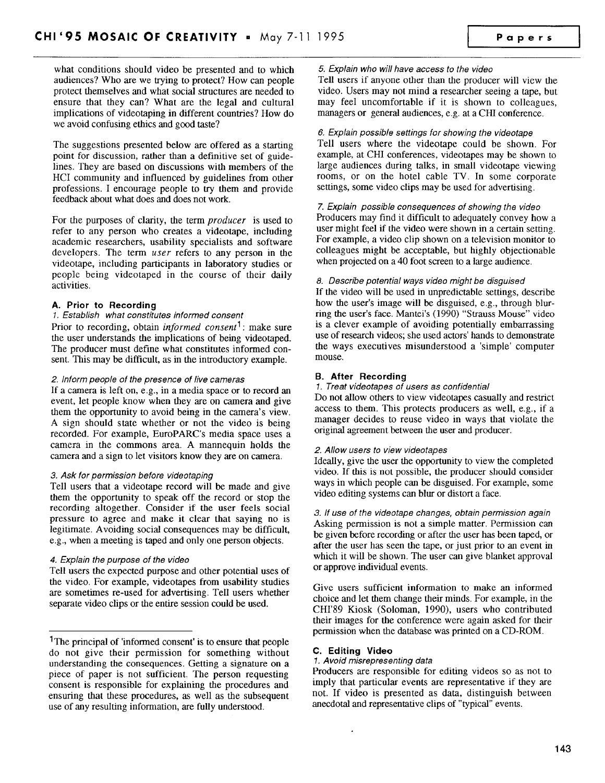what conditions should video be presented and to which audiences? Who are we trying to protect? How can people protect themselves and what social structures are needed to ensure that they can? What are the legal and cultural implications of videotaping in different countries? How do we avoid confusing ethics and good taste?

The suggestions presented below are offered as a starting point for discussion, rather than a definitive set of guidelines. They are based on discussions with members of the HCI community and influenced by guidelines from other professions. I encourage people to try them and provide feedback about what does and does not work.

For the purposes of clarity, the term *producer* is used to refer to any person who creates a videotape, including academic researchers, usability specialists and software developers. The term *user* refers to any person in the videotape, including participants in laboratory studies or people being videotaped in the course of their daily activities.

# **A. Prior to Recording**

# 1. Establish what constitutes informed consent

Prior to recording, obtain *informed consent* 1: make sure the user understands the implications of being videotaped. The producer must define what constitutes informed consent. This may be difficult, as in the introductory example.

## 2. Inform people of the presence of live cameras

If a camera is left on, e.g., in a media space or to record an event, let people know when they are on camera and give them the opportunity to avoid being in the camera's view. A sign should state whether or not the video is being recorded. For example, EuroPARC's media space uses a camera in the commons area. A mannequin holds the camera and a sign to let visitors know they are on camera.

## 3. Ask for permission before videotaping

Tell users that a videotape record will be made and give them the opportunity to speak off the record or stop the recording altogether. Consider if the user feels social pressure to agree and make it clear that saying no is legitimate. A voiding social consequences may be difficult, e.g., when a meeting is taped and only one person objects.

## 4. Explain the purpose of the video

Tell users the expected purpose and other potential uses of the video. For example, videotapes from usability studies are sometimes re-used for advertising. Tell users whether separate video clips or the entire session could be used.

#### 5. Explain who will have access to the video

Tell users if anyone other than the producer will view the video. Users may not mind a researcher seeing a tape, but may feel uncomfortable if it is shown to colleagues, managers or general audiences, e.g. at a CHI conference.

## 6. Explain possible settings for showing the videotape

Tell users where the videotape could be shown. For example, at CHI conferences, videotapes may be shown to large audiences during talks, in small videotape viewing rooms, or on the hotel cable TV. In some corporate settings, some video clips may be used for advertising.

# 7. Explain possible consequences of showing the video

Producers may find it difficult to adequately convey how a user might feel if the video were shown in a certain setting. For example, a video clip shown on a television monitor to colleagues might be acceptable, but highly objectionable when projected on a 40 foot screen to a large audience.

# 8. Describe potential ways video might be disguised

If the video will be used in unpredictable settings, describe how the user's image will be disguised, e.g., through blurring the user's face. Mantei's (1990) "Strauss Mouse" video is a clever example of avoiding potentially embarrassing use of research videos; she used actors' hands to demonstrate the ways executives misunderstood a 'simple' computer mouse.

# **B. After Recording**

#### 1. Treat videotapes of users as confidential

Do not allow others to view videotapes casually and restrict access to them. This protects producers as well, e.g., if a manager decides to reuse video in ways that violate the original agreement between the user and producer.

## 2. Allow users to view videotapes

Ideally, give the user the opportunity to view the completed video. If this is not possible, the producer should consider ways in which people can be disguised. For example, some video editing systems can blur or distort a face.

3. If use of the videotape changes, obtain permission again Asking permission is not a simple matter. Permission can be given before recording or after the user has been taped, or after the user has seen the tape, or just prior to an event in which it will be shown. The user can give blanket approval or approve individual events.

Give users sufficient information to make an informed choice and let them change their minds. For example, in the CHI'89 Kiosk (Soloman, 1990), users who contributed their images for the conference were again asked for their permission when the database was printed on a CD-ROM.

## **C. Editing Video**

k.

## 1. Avoid misrepresenting data

Producers are responsible for editing videos so as not to imply that particular events are representative if they are not. If video is presented as data, distinguish between anecdotal and representative clips of "typical" events.

<sup>&</sup>lt;sup>1</sup>The principal of 'informed consent' is to ensure that people do not give their permission for something without understanding the consequences. Getting a signature on a piece of paper is not sufficient. The person requesting consent is responsible for explaining the procedures and ensuring that these procedures, as well as the subsequent use of any resulting information, are fully understood.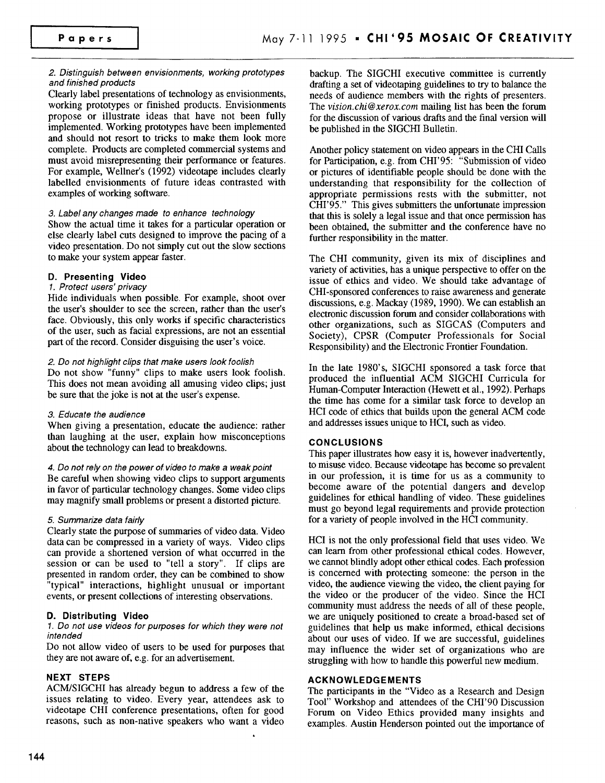#### *2. Distinguish between envisionments, working prototypes and finished products*

Clearly label presentations of technology as envisionments, working prototypes or finished products. Envisionments propose or illustrate ideas that have not been fully implemented. Working prototypes have been implemented and should not resort to tricks to make them look more complete. Products are completed commercial systems and must avoid misrepresenting their performance or features. For example, Wellner's (1992) videotape includes clearly labelled envisionments of future ideas contrasted with examples of working software.

## *3. Label any changes made to enhance technology*

Show the actual time it takes for a particular operation or else clearly label cuts designed to improve the pacing of a video presentation. Do not simply cut out the slow sections to make your system appear faster.

## **D. Presenting Video**

# *1. Protect users'privacy*

Hide individuals when possible. For example, shoot over the user's shoulder to see the screen, rather than the user's face. Obviously, this only works if specific characteristics of the user, such as facial expressions, are not an essential part of the record. Consider disguising the user's voice.

#### *2. Do not highlight clips that make users look foolish*

Do not show "funny" clips to make users look foolish. This does not mean avoiding all amusing video clips; just be sure that the joke is not at the user's expense.

## *3. Educate the audience*

When giving a presentation, educate the audience: rather than laughing at the user, explain how misconceptions about the technology can lead to breakdowns.

## *4. Do not rely on the power of video to make a weak point*

Be careful when showing video clips to support arguments in favor of particular technology changes. Some video clips may magnify small problems or present a distorted picture.

## 5. *Summarize data fairly*

Clearly state the purpose of summaries of video data. Video data can be compressed in a variety of ways. Video clips can provide a shortened version of what occurred in the session or can be used to "tell a story". If clips are presented in random order, they can be combined to show "typical" interactions, highlight unusual or important events, or present collections of interesting observations.

## **D. Distributing Video**

*7. Do not use videos for purposes for which they were not intended* 

Do not allow video of users to be used for purposes that they are not aware of, e.g. for an advertisement.

# **NEXT STEPS**

ACM/SIGCHI has already begun to address a few of the issues relating to video. Every year, attendees ask to videotape CHI conference presentations, often for good reasons, such as non-native speakers who want a video

backup. The SIGCHI executive committee is currently drafting a set of videotaping guidelines to try to balance the needs of audience members with the rights of presenters. The *[vision.chi@xerox.com](mailto:vision.chi@xerox.com)* mailing list has been the forum for the discussion of various drafts and the final version will be published in the SIGCHI BuUetin.

Another policy statement on video appears in the CHI Calls for Participation, e.g. from CHI'95: "Submission of video or pictures of identifiable people should be done with the understanding that responsibility for the collection of appropriate permissions rests with the submitter, not CHI'95." This gives submitters the unfortunate impression that this is solely a legal issue and that once permission has been obtained, the submitter and the conference have no further responsibility in the matter.

The CHI community, given its mix of disciplines and variety of activities, has a unique perspective to offer on the issue of ethics and video. We should take advantage of CHI-sponsored conferences to raise awareness and generate discussions, e.g. Mackay (1989,1990). We can establish an electronic discussion forum and consider collaborations witli other organizations, such as SIGCAS (Computers and Society), CPSR (Computer Professionals for Social Responsibility) and the Electronic Frontier Foundation.

In the late 1980's, SIGCHI sponsored a task force that produced the influential ACM SIGCHI Curricula for Human-Computer Interaction (Hewett et al., 1992). Perhaps the time has come for a similar task force to develop an HCI code of ethics that builds upon the general ACM code and addresses issues unique to HCI, such as video.

# **CONCLUSIONS**

This paper illustrates how easy it is, however inadvertently, to misuse video. Because videotape has become so prevalent in our profession, it is time for us as a community to become aware of the potential dangers and develop guidelines for ethical handling of video. These guidelines must go beyond legal requirements and provide protection for a variety of people involved in the HCI community.

HCI is not the only professional field that uses video. We can learn from other professional ethical codes. However, we cannot blindly adopt other ethical codes. Each profession is concerned with protecting someone: the person in the video, the audience viewing the video, the client paying for the video or the producer of the video. Since the HCI community must address the needs of all of these people, we are uniquely positioned to create a broad-based set of guidelines that help us make informed, ethical decisions about our uses of video. If we are successful, guidelines may influence the wider set of organizations who are struggling with how to handle this powerful new medium.

# **ACKNOWLEDGEMENTS**

The participants in the "Video as a Research and Design Tool" Workshop and attendees of the CHI'90 Discussion Forum on Video Ethics provided many insights and examples. Austin Henderson pointed out the importance of